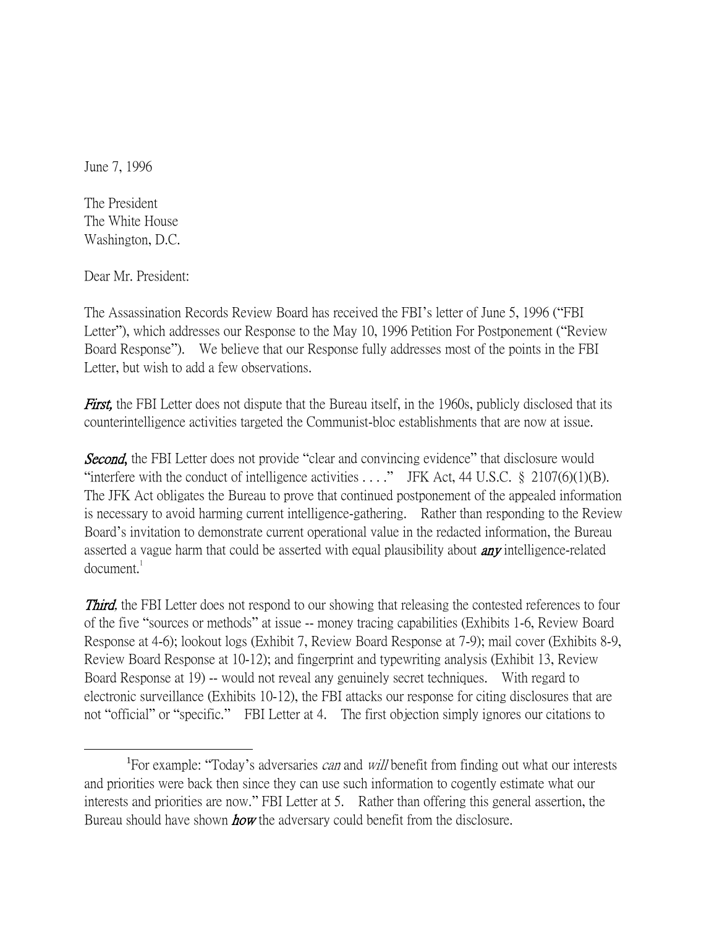June 7, 1996

The President The White House Washington, D.C.

Dear Mr. President:

 $\overline{a}$ 

The Assassination Records Review Board has received the FBI's letter of June 5, 1996 ("FBI Letter"), which addresses our Response to the May 10, 1996 Petition For Postponement ("Review Board Response"). We believe that our Response fully addresses most of the points in the FBI Letter, but wish to add a few observations.

**First,** the FBI Letter does not dispute that the Bureau itself, in the 1960s, publicly disclosed that its counterintelligence activities targeted the Communist-bloc establishments that are now at issue.

**Second,** the FBI Letter does not provide "clear and convincing evidence" that disclosure would "interfere with the conduct of intelligence activities  $\dots$ ." JFK Act, 44 U.S.C. § 2107(6)(1)(B). The JFK Act obligates the Bureau to prove that continued postponement of the appealed information is necessary to avoid harming current intelligence-gathering. Rather than responding to the Review Board's invitation to demonstrate current operational value in the redacted information, the Bureau asserted a vague harm that could be asserted with equal plausibility about **any** intelligence-related  $d$ ocument. $1$ 

**Third,** the FBI Letter does not respond to our showing that releasing the contested references to four of the five "sources or methods" at issue -- money tracing capabilities (Exhibits 1-6, Review Board Response at 4-6); lookout logs (Exhibit 7, Review Board Response at 7-9); mail cover (Exhibits 8-9, Review Board Response at 10-12); and fingerprint and typewriting analysis (Exhibit 13, Review Board Response at 19) -- would not reveal any genuinely secret techniques. With regard to electronic surveillance (Exhibits 10-12), the FBI attacks our response for citing disclosures that are not "official" or "specific." FBI Letter at 4. The first objection simply ignores our citations to

<sup>&</sup>lt;sup>1</sup>For example: "Today's adversaries *can* and *will* benefit from finding out what our interests and priorities were back then since they can use such information to cogently estimate what our interests and priorities are now." FBI Letter at 5. Rather than offering this general assertion, the Bureau should have shown **how** the adversary could benefit from the disclosure.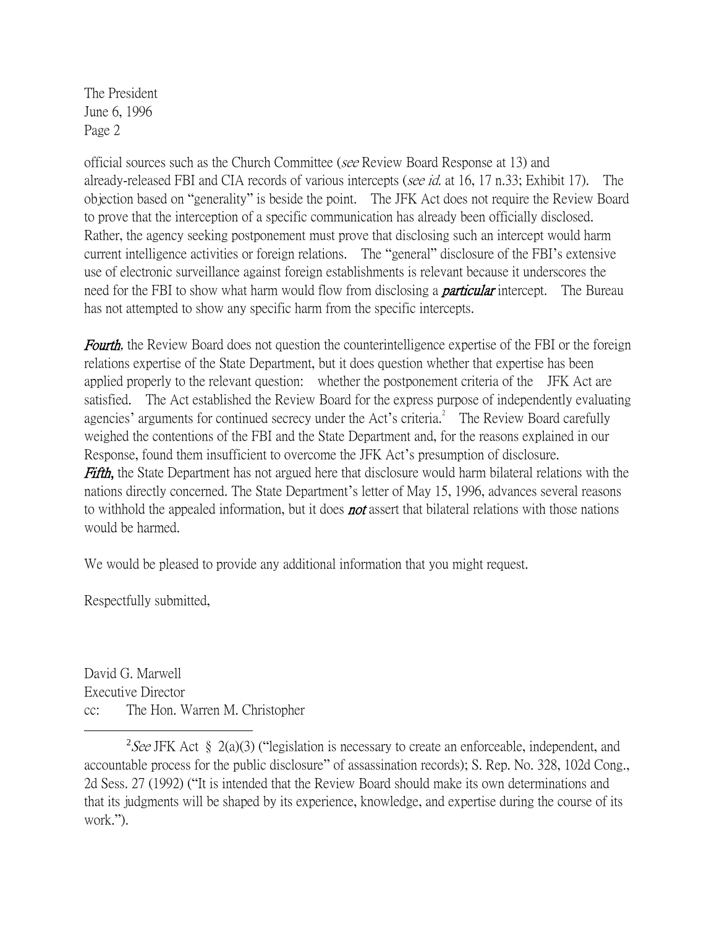The President June 6, 1996 Page 2

official sources such as the Church Committee (see Review Board Response at 13) and already-released FBI and CIA records of various intercepts (see id. at 16, 17 n.33; Exhibit 17). The objection based on "generality" is beside the point. The JFK Act does not require the Review Board to prove that the interception of a specific communication has already been officially disclosed. Rather, the agency seeking postponement must prove that disclosing such an intercept would harm current intelligence activities or foreign relations. The "general" disclosure of the FBI's extensive use of electronic surveillance against foreign establishments is relevant because it underscores the need for the FBI to show what harm would flow from disclosing a *particular* intercept. The Bureau has not attempted to show any specific harm from the specific intercepts.

**Fourth**, the Review Board does not question the counterintelligence expertise of the FBI or the foreign relations expertise of the State Department, but it does question whether that expertise has been applied properly to the relevant question: whether the postponement criteria of the JFK Act are satisfied. The Act established the Review Board for the express purpose of independently evaluating agencies' arguments for continued secrecy under the Act's criteria. $^2$  The Review Board carefully weighed the contentions of the FBI and the State Department and, for the reasons explained in our Response, found them insufficient to overcome the JFK Act's presumption of disclosure. Fifth, the State Department has not argued here that disclosure would harm bilateral relations with the nations directly concerned. The State Department's letter of May 15, 1996, advances several reasons to withhold the appealed information, but it does **not** assert that bilateral relations with those nations would be harmed.

We would be pleased to provide any additional information that you might request.

Respectfully submitted,

 $\overline{a}$ 

David G. Marwell Executive Director cc: The Hon. Warren M. Christopher

<sup>2</sup>See JFK Act § 2(a)(3) ("legislation is necessary to create an enforceable, independent, and accountable process for the public disclosure" of assassination records); S. Rep. No. 328, 102d Cong., 2d Sess. 27 (1992) ("It is intended that the Review Board should make its own determinations and that its judgments will be shaped by its experience, knowledge, and expertise during the course of its work.").